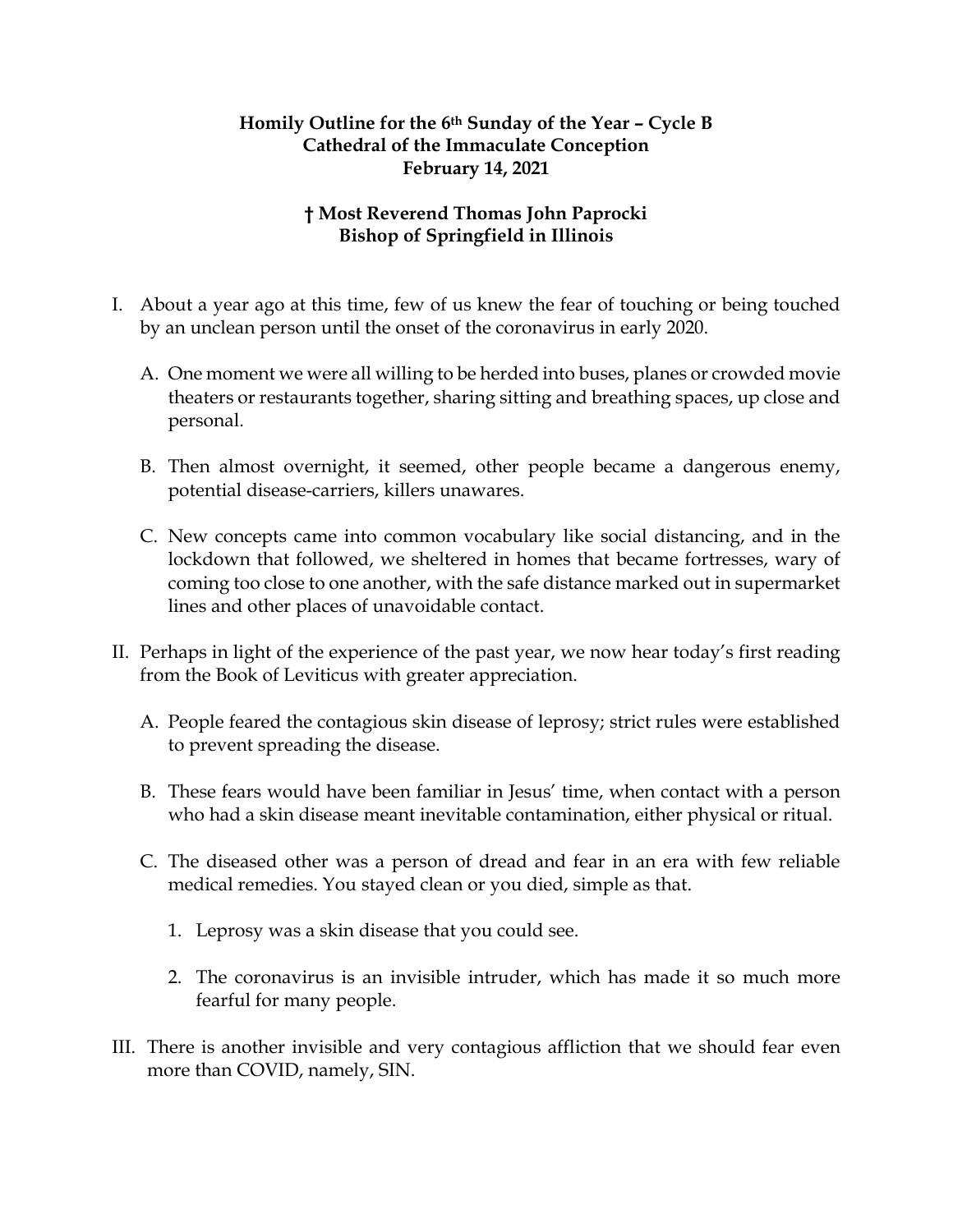## **Homily Outline for the 6th Sunday of the Year – Cycle B Cathedral of the Immaculate Conception February 14, 2021**

## **† Most Reverend Thomas John Paprocki Bishop of Springfield in Illinois**

- I. About a year ago at this time, few of us knew the fear of touching or being touched by an unclean person until the onset of the coronavirus in early 2020.
	- A. One moment we were all willing to be herded into buses, planes or crowded movie theaters or restaurants together, sharing sitting and breathing spaces, up close and personal.
	- B. Then almost overnight, it seemed, other people became a dangerous enemy, potential disease-carriers, killers unawares.
	- C. New concepts came into common vocabulary like social distancing, and in the lockdown that followed, we sheltered in homes that became fortresses, wary of coming too close to one another, with the safe distance marked out in supermarket lines and other places of unavoidable contact.
- II. Perhaps in light of the experience of the past year, we now hear today's first reading from the Book of Leviticus with greater appreciation.
	- A. People feared the contagious skin disease of leprosy; strict rules were established to prevent spreading the disease.
	- B. These fears would have been familiar in Jesus' time, when contact with a person who had a skin disease meant inevitable contamination, either physical or ritual.
	- C. The diseased other was a person of dread and fear in an era with few reliable medical remedies. You stayed clean or you died, simple as that.
		- 1. Leprosy was a skin disease that you could see.
		- 2. The coronavirus is an invisible intruder, which has made it so much more fearful for many people.
- III. There is another invisible and very contagious affliction that we should fear even more than COVID, namely, SIN.